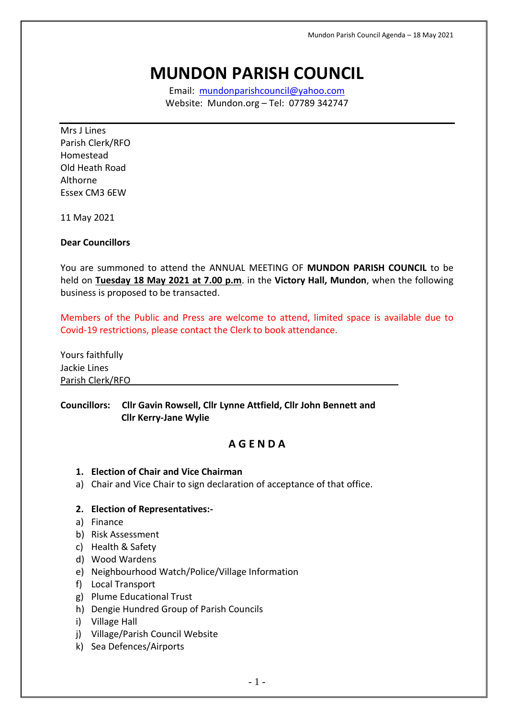# **MUNDON PARISH COUNCIL**

Email: [mundonparishcouncil@yahoo.com](mailto:mundonparishcouncil@yahoo.com) Website: Mundon.org – Tel: 07789 342747

Mrs J Lines Parish Clerk/RFO Homestead Old Heath Road Althorne Essex CM3 6EW

11 May 2021

#### **Dear Councillors**

You are summoned to attend the ANNUAL MEETING OF **MUNDON PARISH COUNCIL** to be held on **Tuesday 18 May 2021 at 7.00 p.m**. in the **Victory Hall, Mundon**, when the following business is proposed to be transacted.

Members of the Public and Press are welcome to attend, limited space is available due to Covid-19 restrictions, please contact the Clerk to book attendance.

Yours faithfully Jackie Lines Parish Clerk/RFO

## **Councillors: Cllr Gavin Rowsell, Cllr Lynne Attfield, Cllr John Bennett and Cllr Kerry-Jane Wylie**

# **A G E N D A**

- **1. Election of Chair and Vice Chairman**
- a) Chair and Vice Chair to sign declaration of acceptance of that office.

#### **2. Election of Representatives:-**

- a) Finance
- b) Risk Assessment
- c) Health & Safety
- d) Wood Wardens
- e) Neighbourhood Watch/Police/Village Information
- f) Local Transport
- g) Plume Educational Trust
- h) Dengie Hundred Group of Parish Councils
- i) Village Hall
- j) Village/Parish Council Website
- k) Sea Defences/Airports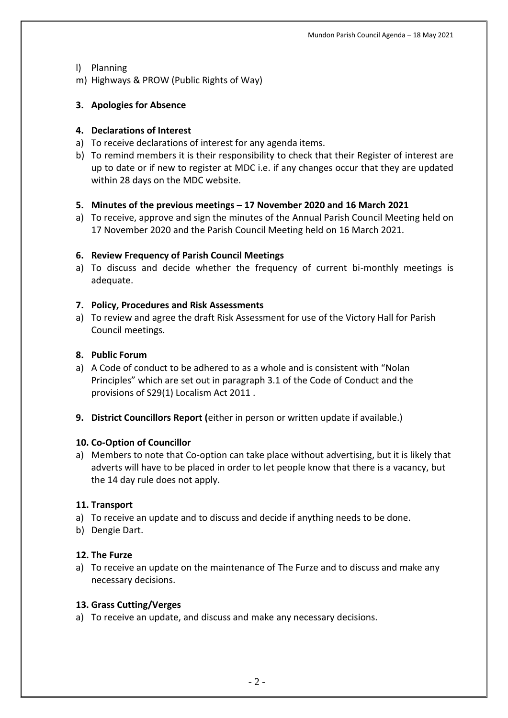#### l) Planning

m) Highways & PROW (Public Rights of Way)

## **3. Apologies for Absence**

#### **4. Declarations of Interest**

- a) To receive declarations of interest for any agenda items.
- b) To remind members it is their responsibility to check that their Register of interest are up to date or if new to register at MDC i.e. if any changes occur that they are updated within 28 days on the MDC website.

## **5. Minutes of the previous meetings – 17 November 2020 and 16 March 2021**

a) To receive, approve and sign the minutes of the Annual Parish Council Meeting held on 17 November 2020 and the Parish Council Meeting held on 16 March 2021.

## **6. Review Frequency of Parish Council Meetings**

a) To discuss and decide whether the frequency of current bi-monthly meetings is adequate.

## **7. Policy, Procedures and Risk Assessments**

a) To review and agree the draft Risk Assessment for use of the Victory Hall for Parish Council meetings.

## **8. Public Forum**

- a) A Code of conduct to be adhered to as a whole and is consistent with "Nolan Principles" which are set out in paragraph 3.1 of the Code of Conduct and the provisions of S29(1) Localism Act 2011 .
- **9. District Councillors Report (**either in person or written update if available.)

#### **10. Co-Option of Councillor**

a) Members to note that Co-option can take place without advertising, but it is likely that adverts will have to be placed in order to let people know that there is a vacancy, but the 14 day rule does not apply.

#### **11. Transport**

- a) To receive an update and to discuss and decide if anything needs to be done.
- b) Dengie Dart.

#### **12. The Furze**

a) To receive an update on the maintenance of The Furze and to discuss and make any necessary decisions.

#### **13. Grass Cutting/Verges**

a) To receive an update, and discuss and make any necessary decisions.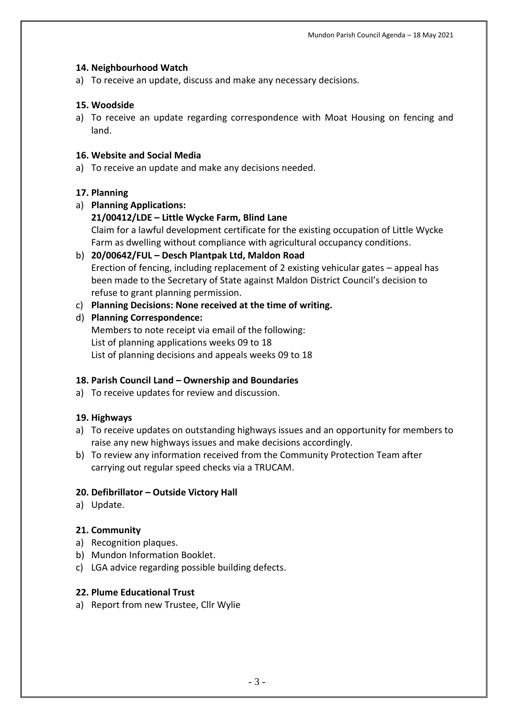## **14. Neighbourhood Watch**

a) To receive an update, discuss and make any necessary decisions.

## **15. Woodside**

a) To receive an update regarding correspondence with Moat Housing on fencing and land.

## **16. Website and Social Media**

a) To receive an update and make any decisions needed.

## **17. Planning**

a) **Planning Applications:**

## **21/00412/LDE – Little Wycke Farm, Blind Lane**

Claim for a lawful development certificate for the existing occupation of Little Wycke Farm as dwelling without compliance with agricultural occupancy conditions.

- b) **20/00642/FUL – Desch Plantpak Ltd, Maldon Road** Erection of fencing, including replacement of 2 existing vehicular gates – appeal has been made to the Secretary of State against Maldon District Council's decision to refuse to grant planning permission.
- c) **Planning Decisions: None received at the time of writing.**

## d) **Planning Correspondence:**

Members to note receipt via email of the following: List of planning applications weeks 09 to 18 List of planning decisions and appeals weeks 09 to 18

## **18. Parish Council Land – Ownership and Boundaries**

a) To receive updates for review and discussion.

## **19. Highways**

- a) To receive updates on outstanding highways issues and an opportunity for members to raise any new highways issues and make decisions accordingly.
- b) To review any information received from the Community Protection Team after carrying out regular speed checks via a TRUCAM.

## **20. Defibrillator – Outside Victory Hall**

a) Update.

## **21. Community**

- a) Recognition plaques.
- b) Mundon Information Booklet.
- c) LGA advice regarding possible building defects.

#### **22. Plume Educational Trust**

a) Report from new Trustee, Cllr Wylie